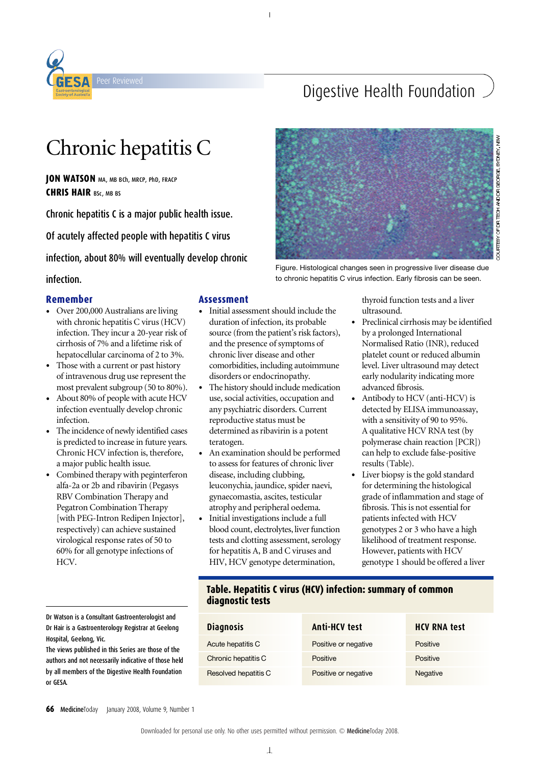

## Digestive Health Foundation

# Chronic hepatitis C

**JON WATSON** MA, MB BCh, MRCP, PhD, FRACP **CHRIS HAIR** BSc, MB BS

Chronic hepatitis C is a major public health issue.

Of acutely affected people with hepatitis C virus

infection, about 80% will eventually develop chronic

#### infection.

#### **Remember**

- Over 200,000 Australians are living with chronic hepatitis C virus(HCV) infection. They incur a 20-year risk of cirrhosis of 7% and a lifetime risk of hepatocellular carcinoma of 2 to 3%.
- Those with a current or past history of intravenous drug use represent the most prevalent subgroup (50 to 80%).
- About 80% of people with acute HCV infection eventually develop chronic infection.
- The incidence of newly identified cases is predicted to increase in future years. Chronic HCV infection is, therefore, a major public health issue.
- Combined therapy with peginterferon alfa-2a or 2b and ribavirin (Pegasys RBV Combination Therapy and Pegatron Combination Therapy [with PEG-Intron Redipen Injector], respectively) can achieve sustained virological response rates of 50 to 60% for all genotype infections of HCV.

Dr Watson is a Consultant Gastroenterologist and Dr Hair is a Gastroenterology Registrar at Geelong Hospital, Geelong, Vic. Downloaded for personal use only. No other uses permitted without permission. © MedicineToday 2010.

The views published in this Series are those of the authors and not necessarily indicative of those held by all members of the Digestive Health Foundation or GESA.

#### **A s s e s s m e n t**

- Initial assessment should include the duration of infection, its probable source (from the patient's risk factors), and the presence of symptoms of chronic liver disease and other comorbidities, including autoimmune disorders or endocrinopathy.
- The history should include medication use, social activities, occupation and any psychiatric disorders. Current reproductive status must be determined as ribavirin is a potent teratogen.
- An examination should be performed to assess for features of chronic liver disease, including clubbing, leuconychia, jaundice, spider naevi, gynaecomastia, ascites, testicular atrophy and peripheral oedema.
- Initial investigations include a full blood count, electrolytes, liver function tests and clotting assessment, serology for hepatitis A, B and C viruses and HIV, HCV genotype determination,



QURTESY OF DR TEOH AND DR GEORGE, SYDNEY, NSM

Figure. Histological changes seen in progressive liver disease due to chronic hepatitis C virus infection. Early fibrosis can be seen.

> thyroid function tests and a liver ultrasound.

- Preclinical cirrhosis may be identified by a prolonged International Normalised Ratio (INR), reduced platelet count or reduced albumin level. Liver ultrasound may detect early nodularity indicating more advanced fibrosis.
- Antibody to HCV (anti-HCV) is detected by ELISA immunoassay, with a sensitivity of 90 to 95%. A qualitative HCV RNA test (by polymerase chain reaction [PCR]) can help to exclude false-positive results (Table).
- Liver biopsy is the gold standard for determining the histological grade of inflammation and stage of fibrosis. This is not essential for patients infected with HCV genotypes 2 or 3 who have a high likelihood of treatment response. However, patients with HCV genotype 1 should be offered a liver

#### **Table. Hepatitis C virus (HCV) infection: summary of common diagnostic tests**

| cinnaist ailm<br>rar at Geelong                        | <b>Diagnosis</b>     | <b>Anti-HCV test</b> | <b>HCV RNA test</b> |
|--------------------------------------------------------|----------------------|----------------------|---------------------|
| re those of the<br>ve of those held<br>alth Foundation | Acute hepatitis C    | Positive or negative | Positive            |
|                                                        | Chronic hepatitis C  | Positive             | Positive            |
|                                                        | Resolved hepatitis C | Positive or negative | Negative            |

**66** MedicineToday January 2008, Volume 9, Number 1